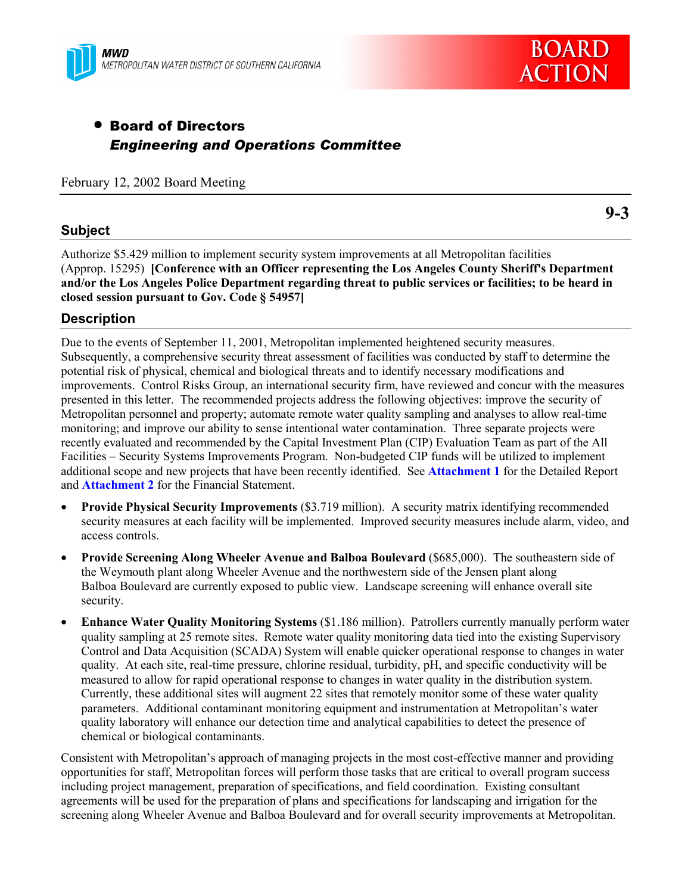



# • Board of Directors *Engineering and Operations Committee*

February 12, 2002 Board Meeting

## **Subject**

**9-3**

Authorize \$5.429 million to implement security system improvements at all Metropolitan facilities (Approp. 15295) **[Conference with an Officer representing the Los Angeles County Sheriff's Department and/or the Los Angeles Police Department regarding threat to public services or facilities; to be heard in closed session pursuant to Gov. Code § 54957]**

## **Description**

Due to the events of September 11, 2001, Metropolitan implemented heightened security measures. Subsequently, a comprehensive security threat assessment of facilities was conducted by staff to determine the potential risk of physical, chemical and biological threats and to identify necessary modifications and improvements. Control Risks Group, an international security firm, have reviewed and concur with the measures presented in this letter. The recommended projects address the following objectives: improve the security of Metropolitan personnel and property; automate remote water quality sampling and analyses to allow real-time monitoring; and improve our ability to sense intentional water contamination. Three separate projects were recently evaluated and recommended by the Capital Investment Plan (CIP) Evaluation Team as part of the All Facilities – Security Systems Improvements Program. Non-budgeted CIP funds will be utilized to implement additional scope and new projects that have been recently identified. See **Attachment 1** for the Detailed Report and **Attachment 2** for the Financial Statement.

- **Provide Physical Security Improvements** (\$3.719 million). A security matrix identifying recommended security measures at each facility will be implemented. Improved security measures include alarm, video, and access controls.
- **Provide Screening Along Wheeler Avenue and Balboa Boulevard** (\$685,000). The southeastern side of the Weymouth plant along Wheeler Avenue and the northwestern side of the Jensen plant along Balboa Boulevard are currently exposed to public view. Landscape screening will enhance overall site security.
- **Enhance Water Quality Monitoring Systems** (\$1.186 million). Patrollers currently manually perform water quality sampling at 25 remote sites. Remote water quality monitoring data tied into the existing Supervisory Control and Data Acquisition (SCADA) System will enable quicker operational response to changes in water quality. At each site, real-time pressure, chlorine residual, turbidity, pH, and specific conductivity will be measured to allow for rapid operational response to changes in water quality in the distribution system. Currently, these additional sites will augment 22 sites that remotely monitor some of these water quality parameters. Additional contaminant monitoring equipment and instrumentation at Metropolitan's water quality laboratory will enhance our detection time and analytical capabilities to detect the presence of chemical or biological contaminants.

Consistent with Metropolitan's approach of managing projects in the most cost-effective manner and providing opportunities for staff, Metropolitan forces will perform those tasks that are critical to overall program success including project management, preparation of specifications, and field coordination. Existing consultant agreements will be used for the preparation of plans and specifications for landscaping and irrigation for the screening along Wheeler Avenue and Balboa Boulevard and for overall security improvements at Metropolitan.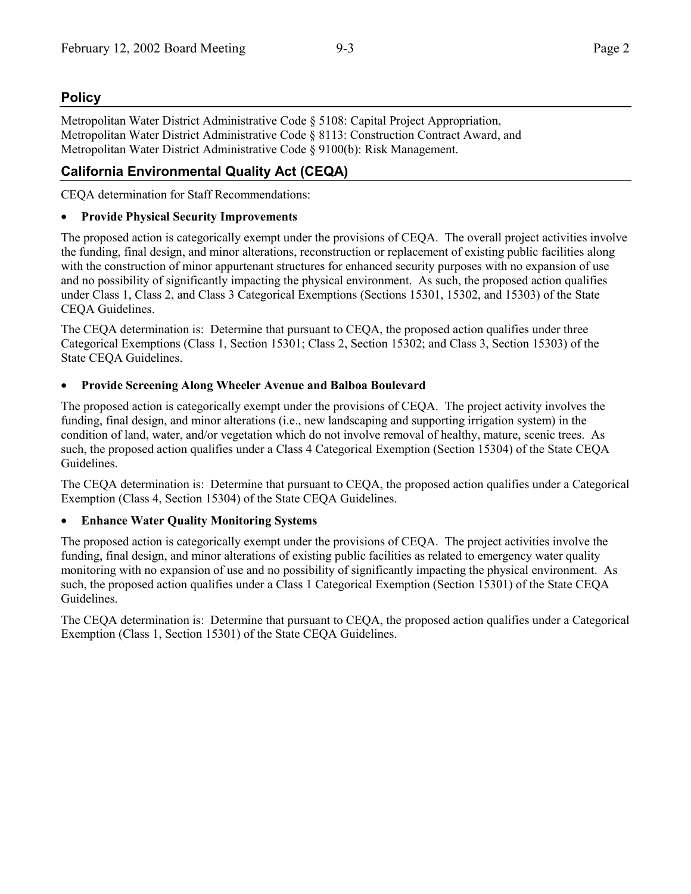## **Policy**

Metropolitan Water District Administrative Code § 5108: Capital Project Appropriation, Metropolitan Water District Administrative Code § 8113: Construction Contract Award, and Metropolitan Water District Administrative Code § 9100(b): Risk Management.

## **California Environmental Quality Act (CEQA)**

CEQA determination for Staff Recommendations:

### • **Provide Physical Security Improvements**

The proposed action is categorically exempt under the provisions of CEQA. The overall project activities involve the funding, final design, and minor alterations, reconstruction or replacement of existing public facilities along with the construction of minor appurtenant structures for enhanced security purposes with no expansion of use and no possibility of significantly impacting the physical environment. As such, the proposed action qualifies under Class 1, Class 2, and Class 3 Categorical Exemptions (Sections 15301, 15302, and 15303) of the State CEQA Guidelines.

The CEQA determination is: Determine that pursuant to CEQA, the proposed action qualifies under three Categorical Exemptions (Class 1, Section 15301; Class 2, Section 15302; and Class 3, Section 15303) of the State CEQA Guidelines.

### • **Provide Screening Along Wheeler Avenue and Balboa Boulevard**

The proposed action is categorically exempt under the provisions of CEQA. The project activity involves the funding, final design, and minor alterations (i.e., new landscaping and supporting irrigation system) in the condition of land, water, and/or vegetation which do not involve removal of healthy, mature, scenic trees. As such, the proposed action qualifies under a Class 4 Categorical Exemption (Section 15304) of the State CEQA Guidelines.

The CEQA determination is: Determine that pursuant to CEQA, the proposed action qualifies under a Categorical Exemption (Class 4, Section 15304) of the State CEQA Guidelines.

### • **Enhance Water Quality Monitoring Systems**

The proposed action is categorically exempt under the provisions of CEQA. The project activities involve the funding, final design, and minor alterations of existing public facilities as related to emergency water quality monitoring with no expansion of use and no possibility of significantly impacting the physical environment. As such, the proposed action qualifies under a Class 1 Categorical Exemption (Section 15301) of the State CEQA Guidelines.

The CEQA determination is: Determine that pursuant to CEQA, the proposed action qualifies under a Categorical Exemption (Class 1, Section 15301) of the State CEQA Guidelines.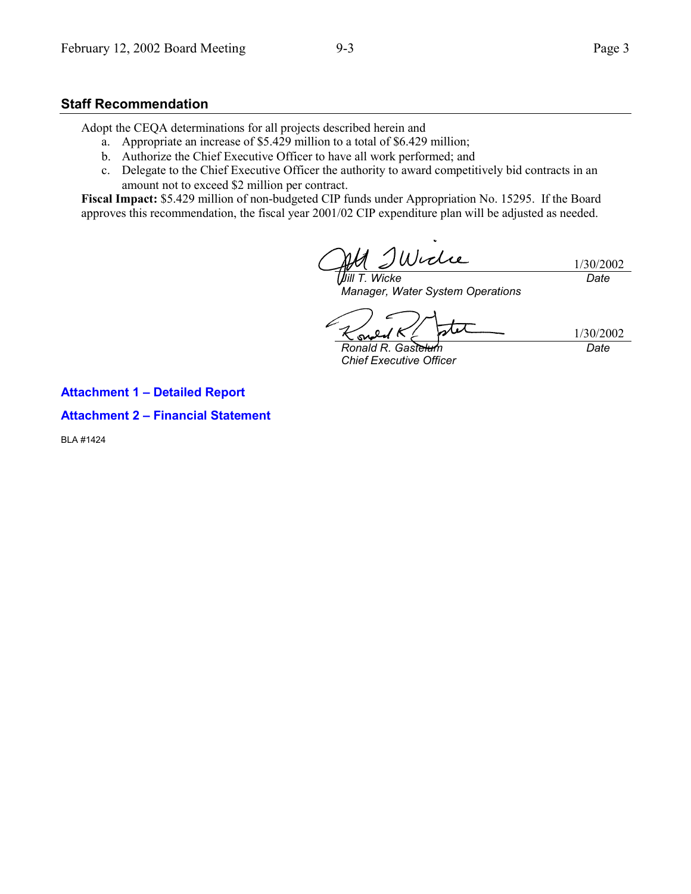## **Staff Recommendation**

Adopt the CEQA determinations for all projects described herein and

- a. Appropriate an increase of \$5.429 million to a total of \$6.429 million;
- b. Authorize the Chief Executive Officer to have all work performed; and
- c. Delegate to the Chief Executive Officer the authority to award competitively bid contracts in an amount not to exceed \$2 million per contract.

**Fiscal Impact:** \$5.429 million of non-budgeted CIP funds under Appropriation No. 15295. If the Board approves this recommendation, the fiscal year 2001/02 CIP expenditure plan will be adjusted as needed.

1/30/2002 *Jill T. Wicke Date*

*Manager, Water System Operations*

1/30/2002 *Date*

*Ronald R. Gastelum Chief Executive Officer*

**Attachment 1 – Detailed Report**

**Attachment 2 – Financial Statement**

BLA #1424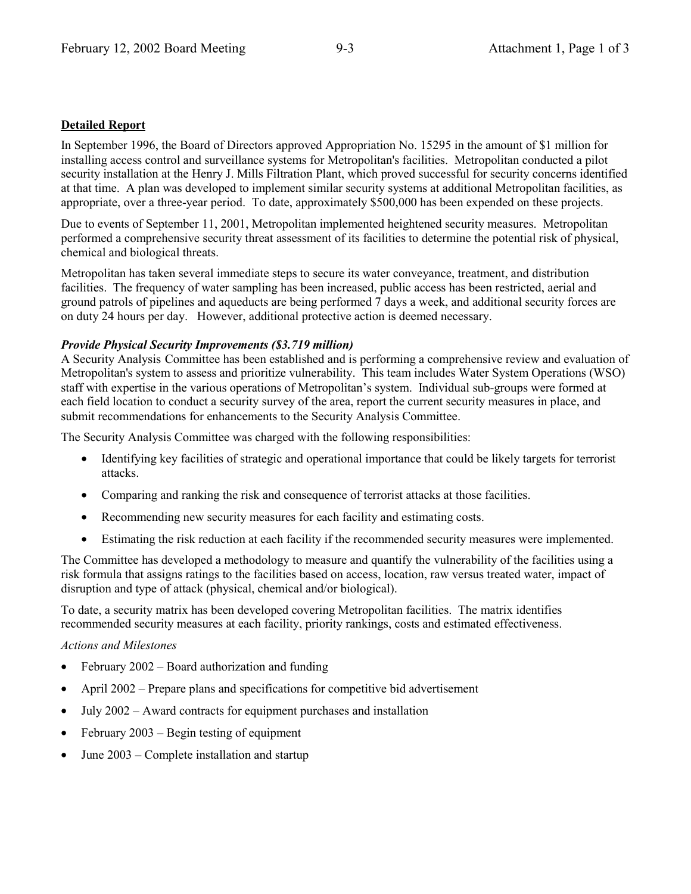### **Detailed Report**

In September 1996, the Board of Directors approved Appropriation No. 15295 in the amount of \$1 million for installing access control and surveillance systems for Metropolitan's facilities. Metropolitan conducted a pilot security installation at the Henry J. Mills Filtration Plant, which proved successful for security concerns identified at that time. A plan was developed to implement similar security systems at additional Metropolitan facilities, as appropriate, over a three-year period. To date, approximately \$500,000 has been expended on these projects.

Due to events of September 11, 2001, Metropolitan implemented heightened security measures. Metropolitan performed a comprehensive security threat assessment of its facilities to determine the potential risk of physical, chemical and biological threats.

Metropolitan has taken several immediate steps to secure its water conveyance, treatment, and distribution facilities. The frequency of water sampling has been increased, public access has been restricted, aerial and ground patrols of pipelines and aqueducts are being performed 7 days a week, and additional security forces are on duty 24 hours per day. However, additional protective action is deemed necessary.

#### *Provide Physical Security Improvements (\$3.719 million)*

A Security Analysis Committee has been established and is performing a comprehensive review and evaluation of Metropolitan's system to assess and prioritize vulnerability. This team includes Water System Operations (WSO) staff with expertise in the various operations of Metropolitan's system. Individual sub-groups were formed at each field location to conduct a security survey of the area, report the current security measures in place, and submit recommendations for enhancements to the Security Analysis Committee.

The Security Analysis Committee was charged with the following responsibilities:

- Identifying key facilities of strategic and operational importance that could be likely targets for terrorist attacks.
- Comparing and ranking the risk and consequence of terrorist attacks at those facilities.
- Recommending new security measures for each facility and estimating costs.
- Estimating the risk reduction at each facility if the recommended security measures were implemented.

The Committee has developed a methodology to measure and quantify the vulnerability of the facilities using a risk formula that assigns ratings to the facilities based on access, location, raw versus treated water, impact of disruption and type of attack (physical, chemical and/or biological).

To date, a security matrix has been developed covering Metropolitan facilities. The matrix identifies recommended security measures at each facility, priority rankings, costs and estimated effectiveness.

#### *Actions and Milestones*

- February 2002 Board authorization and funding
- April 2002 Prepare plans and specifications for competitive bid advertisement
- July 2002 Award contracts for equipment purchases and installation
- February 2003 Begin testing of equipment
- June 2003 Complete installation and startup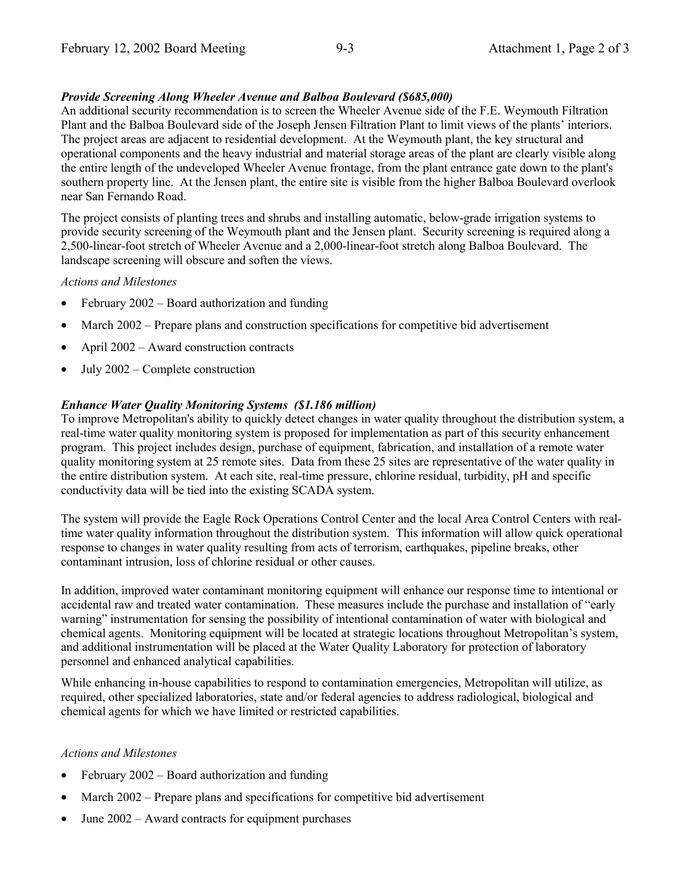#### *Provide Screening Along Wheeler Avenue and Balboa Boulevard (\$685,000)*

An additional security recommendation is to screen the Wheeler Avenue side of the F.E. Weymouth Filtration Plant and the Balboa Boulevard side of the Joseph Jensen Filtration Plant to limit views of the plants' interiors. The project areas are adjacent to residential development. At the Weymouth plant, the key structural and operational components and the heavy industrial and material storage areas of the plant are clearly visible along the entire length of the undeveloped Wheeler Avenue frontage, from the plant entrance gate down to the plant's southern property line. At the Jensen plant, the entire site is visible from the higher Balboa Boulevard overlook near San Fernando Road.

The project consists of planting trees and shrubs and installing automatic, below-grade irrigation systems to provide security screening of the Weymouth plant and the Jensen plant. Security screening is required along a 2,500-linear-foot stretch of Wheeler Avenue and a 2,000-linear-foot stretch along Balboa Boulevard. The landscape screening will obscure and soften the views.

#### *Actions and Milestones*

- February 2002 Board authorization and funding
- March 2002 Prepare plans and construction specifications for competitive bid advertisement
- April 2002 Award construction contracts
- July 2002 Complete construction

#### *Enhance Water Quality Monitoring Systems (\$1.186 million)*

To improve Metropolitan's ability to quickly detect changes in water quality throughout the distribution system, a real-time water quality monitoring system is proposed for implementation as part of this security enhancement program. This project includes design, purchase of equipment, fabrication, and installation of a remote water quality monitoring system at 25 remote sites. Data from these 25 sites are representative of the water quality in the entire distribution system. At each site, real-time pressure, chlorine residual, turbidity, pH and specific conductivity data will be tied into the existing SCADA system.

The system will provide the Eagle Rock Operations Control Center and the local Area Control Centers with realtime water quality information throughout the distribution system. This information will allow quick operational response to changes in water quality resulting from acts of terrorism, earthquakes, pipeline breaks, other contaminant intrusion, loss of chlorine residual or other causes.

In addition, improved water contaminant monitoring equipment will enhance our response time to intentional or accidental raw and treated water contamination. These measures include the purchase and installation of "early warning" instrumentation for sensing the possibility of intentional contamination of water with biological and chemical agents. Monitoring equipment will be located at strategic locations throughout Metropolitan's system, and additional instrumentation will be placed at the Water Quality Laboratory for protection of laboratory personnel and enhanced analytical capabilities.

While enhancing in-house capabilities to respond to contamination emergencies, Metropolitan will utilize, as required, other specialized laboratories, state and/or federal agencies to address radiological, biological and chemical agents for which we have limited or restricted capabilities.

#### *Actions and Milestones*

- February 2002 Board authorization and funding
- March 2002 Prepare plans and specifications for competitive bid advertisement
- June 2002 Award contracts for equipment purchases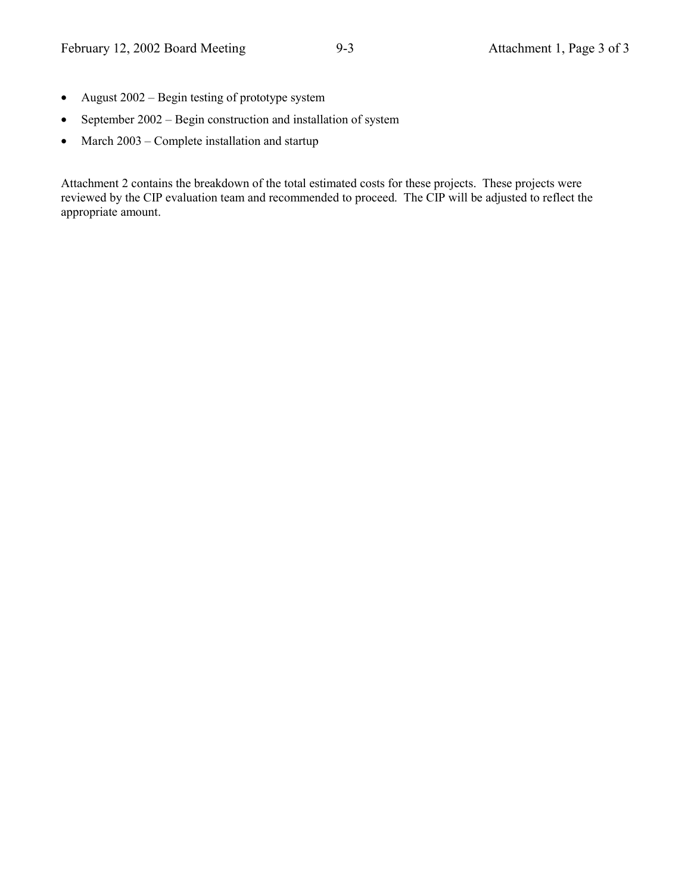- August 2002 Begin testing of prototype system
- September 2002 Begin construction and installation of system
- March 2003 Complete installation and startup

Attachment 2 contains the breakdown of the total estimated costs for these projects. These projects were reviewed by the CIP evaluation team and recommended to proceed. The CIP will be adjusted to reflect the appropriate amount.